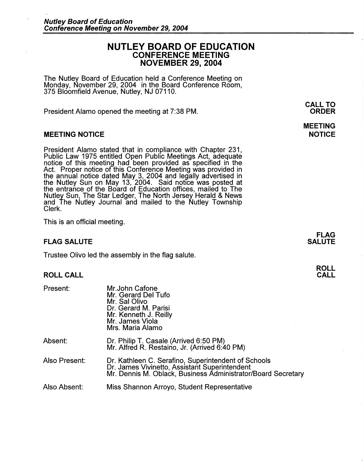# **NUTLEY BOARD OF EDUCATION CONFERENCE MEETING NOVEMBER 29, 2004**

The Nutley Board of Education held a Conference Meeting on Monday, November 29, 2004 in the Board Conference Room, 375 Bloomfield Avenue, Nutley, NJ 07110.

President Alamo opened the meeting at 7:38 PM.

## **MEETING NOTICE**

President Alamo stated that in compliance with Chapter 231, Public Law 1975 entitled Open Public Meetings Act, adequate notice of this meeting had been provided as specified in the Act. Proper notice of this Conference Meeting was provided in the annual notice dated May 3, 2004 and legally advertised in the Nutley Sun on May 13, 2004. Said notice was posted at the entrance of the Board of Education offices, mailed to The Nutley Sun, The Star Ledger, The North Jersey Herald & News and The Nutley Journal and mailed to the Nutley Township Clerk.

This is an official meeting.

## **FLAG SALUTE**

Trustee Olivo led the assembly in the flag salute.

Mr.John Catone

## **ROLL CALL**

Present:

|               | Mr. Gerard Del Tufo<br>Mr. Sal Olivo<br>Dr. Gerard M. Parisi<br>Mr. Kenneth J. Reilly<br>Mr. James Viola<br>Mrs. Maria Alamo                                         |
|---------------|----------------------------------------------------------------------------------------------------------------------------------------------------------------------|
| Absent:       | Dr. Philip T. Casale (Arrived 6:50 PM)<br>Mr. Alfred R. Restaino, Jr. (Arrived 6:40 PM)                                                                              |
| Also Present: | Dr. Kathleen C. Serafino, Superintendent of Schools<br>Dr. James Vivinetto, Assistant Superintendent<br>Mr. Dennis M. Oblack, Business Administrator/Board Secretary |
| Also Absent:  | Miss Shannon Arroyo, Student Representative                                                                                                                          |

**CALL TO ORDER** 

## **MEETING NOTICE**

**FLAG SALUTE**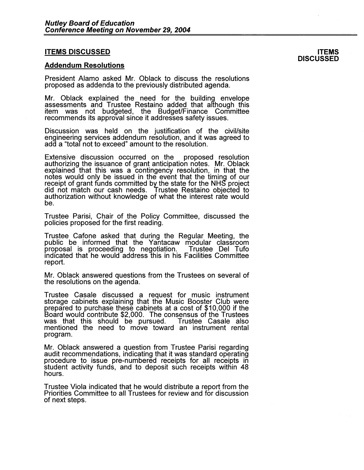### **ITEMS DISCUSSED**

#### **Addendum Resolutions**

President Alamo asked Mr. Oblack to discuss the resolutions proposed as addenda to the previously distributed agenda.

Mr. Oblack explained the need for the building envelope assessments and Trustee Restaino added that although this item was not budgeted, the BudgeUFinance Committee recommends its approval since it addresses safety issues.

Discussion was held on the justification of the civil/site engineering services addendum resolution, and it was agreed to add a "total not to exceed" amount to the resolution.

Extensive discussion occurred on the proposed resolution authorizing the issuance of grant anticipation notes. Mr. Oblack explained that this was a contingency resolution, in that the notes would only be issued in the event that the timing of our receipt of grant funds committed by the state for the NHS project did not match our cash needs. Trustee Restaino objected to authorization without knowledge of what the interest rate would be.

Trustee Parisi, Chair of the Policy Committee, discussed the policies proposed for the first reading.

Trustee Cafone asked that during the Regular Meeting, the public be informed that the Yantacaw modular classroom proposal is proceeding to negotiation. indicated that he would address this in his Facilities Committee report.

Mr. Oblack answered questions from the Trustees on several of the resolutions on the agenda.

Trustee Casale discussed a request for music instrument storage cabinets explaining that the Music Booster Club were prepared to purchase these cabinets at a cost of \$10,000 if the Board would contribute \$2,000. The consensus of the Trustees was that this should be pursued. Trustee Casale also mentioned the need to move toward an instrument rental program.

Mr. Oblack answered a question from Trustee Parisi regarding audit recommendations, indicating that it was standard operating procedure to issue pre-numbered receipts for all receipts in student activity funds, and to deposit such receipts within 48 hours.

Trustee Viola indicated that he would distribute a report from the Priorities Committee to all Trustees for review and for discussion of next steps.